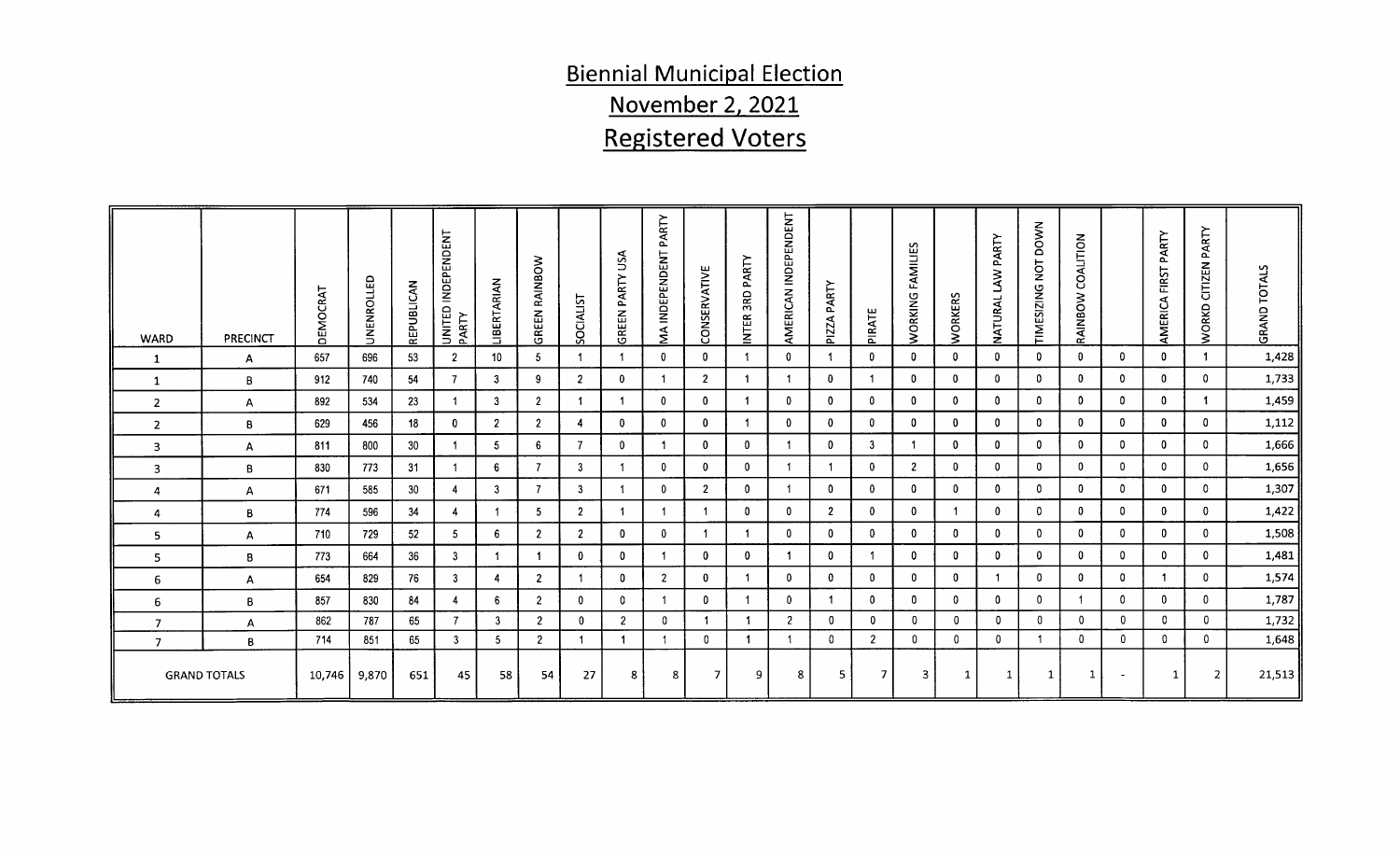# Biennial Municipal Elect ennial Municipal Election<br>November 2, 2021 <u>ovember 2</u> <u>ember 2, 2</u><br>stered Vo

|                |                     |                |     |                 |    |                         |                |                      |    | <u>November 2, 2021</u>  |                |                          |                          |                |   |                                  |                          |                         |                         |                         |                          |                                        |                          |                         |                          |               |
|----------------|---------------------|----------------|-----|-----------------|----|-------------------------|----------------|----------------------|----|--------------------------|----------------|--------------------------|--------------------------|----------------|---|----------------------------------|--------------------------|-------------------------|-------------------------|-------------------------|--------------------------|----------------------------------------|--------------------------|-------------------------|--------------------------|---------------|
|                |                     |                |     |                 |    |                         |                |                      |    | <b>Registered Voters</b> |                |                          |                          |                |   |                                  |                          |                         |                         |                         |                          |                                        |                          |                         |                          |               |
|                |                     |                |     |                 |    |                         |                |                      |    |                          |                |                          |                          |                |   |                                  |                          |                         |                         |                         |                          |                                        |                          |                         |                          |               |
|                |                     |                |     |                 |    |                         |                |                      |    |                          |                |                          |                          |                |   |                                  |                          |                         |                         |                         |                          |                                        |                          |                         |                          |               |
|                |                     |                |     |                 |    |                         |                |                      |    |                          |                |                          |                          |                |   |                                  |                          |                         |                         |                         |                          |                                        |                          |                         |                          |               |
|                |                     |                |     |                 |    |                         |                |                      |    |                          |                |                          |                          | $\overline{z}$ |   |                                  |                          |                         |                         |                         |                          |                                        |                          |                         | $\succ$                  |               |
|                |                     |                |     |                 |    |                         |                |                      |    |                          |                |                          |                          |                |   |                                  |                          |                         |                         | PART                    | $\circ$                  |                                        |                          | PART                    |                          |               |
|                |                     |                |     |                 |    |                         |                |                      |    |                          |                |                          |                          | ≚              |   |                                  | ୍ୟୁ                      |                         |                         | $\geq$                  | ់ត                       |                                        |                          | FIRST                   | $\mathbf{z}$             | ALS           |
|                |                     | 북              | 暭   | $\mathbb{Z}$    |    |                         |                | ALIST                |    |                          |                |                          |                          |                |   |                                  |                          |                         |                         | 3                       | - 67                     | Ö                                      |                          | ්ර                      | ರ                        | 5             |
|                |                     |                |     |                 |    |                         |                |                      |    |                          |                |                          |                          |                | പ |                                  |                          |                         |                         |                         |                          |                                        |                          | $\sim$                  |                          | $\Omega$      |
| WARD           | <b>PRECINCT</b>     |                |     |                 |    |                         |                |                      |    |                          |                |                          |                          |                |   |                                  |                          |                         |                         |                         |                          |                                        |                          | AME                     |                          |               |
|                |                     | 657            | 696 | 53              |    | 10                      |                | $\overline{1}$       |    |                          |                | $\overline{\mathbf{0}}$  |                          | $\overline{0}$ |   | $\mathbf{0}$                     | $\overline{0}$           |                         | $\overline{\mathbf{0}}$ | $\overline{0}$          | - 0                      | $\bullet$                              | $\overline{\phantom{0}}$ | $\overline{\mathbf{0}}$ |                          | 1,428         |
|                |                     | 912            | 740 | 54              |    |                         |                | $\overline{2}$       |    |                          |                | $\overline{2}$           |                          | $\overline{1}$ |   |                                  | $\overline{\mathbf{0}}$  | $\overline{\mathbf{0}}$ |                         | $\overline{0}$          |                          |                                        | $\overline{\mathbf{0}}$  | $\overline{0}$          | $\overline{\mathbf{0}}$  | 1,733         |
|                |                     | 892            | 534 | 23              |    |                         |                | $\blacktriangleleft$ |    |                          |                |                          |                          | $\mathbf{0}$   |   |                                  | $\mathbf{0}$             |                         |                         | $\overline{0}$          |                          |                                        | $\mathbf{0}$             |                         |                          | 1,459<br>____ |
|                |                     | 629            | 456 | 18              |    |                         |                | $\overline{4}$       |    |                          |                |                          |                          | $\mathbf{0}$   |   |                                  |                          |                         |                         |                         |                          |                                        | $\overline{0}$           |                         | $\overline{\mathbf{0}}$  | 1,112         |
|                |                     | 811            | 800 | 30 <sup>°</sup> |    | $-5$                    |                | $\overline{7}$       |    |                          |                |                          |                          |                |   |                                  | $\overline{1}$           |                         |                         |                         |                          |                                        | $\overline{0}$           |                         | $\overline{0}$           | 1,666         |
|                |                     | 830            | 773 | 31              |    |                         |                | 3                    |    |                          |                | $\overline{\mathbf{0}}$  |                          | $\overline{1}$ |   |                                  | $\overline{\phantom{a}}$ |                         |                         | $\overline{0}$          |                          |                                        | - 0                      |                         | $\overline{0}$           | 1,656         |
|                |                     | 671            | 585 | - 30            |    |                         |                | $\mathbf{3}$         |    |                          |                |                          |                          |                |   |                                  |                          |                         |                         | $\overline{0}$          |                          |                                        | - 0                      |                         | $\overline{0}$           | 1,307         |
|                |                     | 774            | 596 | 34              |    |                         |                | $\overline{2}$       |    |                          |                | $\overline{1}$           |                          | $\overline{0}$ |   |                                  | $\overline{0}$           |                         |                         | $\overline{0}$          |                          |                                        | - 0                      |                         | $\overline{\phantom{0}}$ | 1,422         |
|                |                     | 710            | 729 | - 52            |    | - 6                     |                | $\overline{2}$       |    |                          |                | $\overline{1}$           |                          | $\mathbf 0$    |   |                                  | $\overline{0}$           |                         |                         | $\Omega$                |                          | $\mathbf{0}$                           | $\overline{0}$           |                         | $\overline{0}$           | 1,508         |
|                |                     | 773            | 664 | 36              |    |                         |                | $\overline{0}$       |    |                          |                | $\overline{\phantom{0}}$ |                          |                |   |                                  | $\overline{\phantom{0}}$ |                         |                         | $\overline{0}$          |                          |                                        | - 0                      |                         | $\mathbf{0}$             | 1,481         |
|                |                     | 654            | 829 |                 |    |                         |                | $\blacktriangleleft$ |    |                          |                | $\bf{0}$                 |                          | $\overline{0}$ |   |                                  | $\overline{0}$           |                         |                         |                         |                          |                                        |                          |                         | $\mathbf{0}$             | 1,574         |
|                |                     | 857            | 830 |                 |    |                         |                | $\mathbf 0$          |    |                          |                | $\Omega$                 |                          | $\overline{0}$ |   |                                  | $\overline{0}$           |                         |                         | $\mathbf{0}$            |                          |                                        | $\overline{0}$           |                         | $\overline{\mathbf{0}}$  | 1,787         |
| $\overline{7}$ |                     | 862            | 787 | - 65            |    | $\overline{\mathbf{3}}$ | $\overline{2}$ | $\overline{0}$       |    |                          | $0$            | $\sqrt{1}$               |                          | $\overline{2}$ |   | $\begin{array}{c} 0 \end{array}$ | $\overline{\mathbf{0}}$  |                         | $\overline{0}$          | $\overline{0}$          | $\overline{\phantom{0}}$ | $\begin{array}{ccc} & 0 \end{array}$   | $\overline{\mathbf{0}}$  | $\circ$                 | $\overline{\phantom{0}}$ | 1,732         |
|                |                     | 714            | 851 | 65              |    | 5 <sup>5</sup>          | $\overline{2}$ |                      |    |                          |                | $\bullet$                | $\overline{\phantom{0}}$ | $\overline{1}$ |   | $\overline{2}$                   | $\mathbf{0}$             |                         | $\overline{0}$          | $\overline{\mathbf{0}}$ | $-1$                     | $\begin{array}{ccc} & 0 & \end{array}$ | $\mathbf{0}$             | $\overline{0}$          | $\overline{\mathbf{0}}$  | 1,648         |
|                | <b>GRAND TOTALS</b> | $10,746$ 9,870 |     | 651             | 45 | 58                      | 54             |                      | 27 | 81                       | 8 <sup>1</sup> | - 71                     |                          |                |   |                                  | $\overline{7}$           | - 31                    |                         |                         |                          | $\mathbf{1}$                           | $\sim 100$               | 11                      | $\left  \right $ 2       | 21,513        |
|                |                     |                |     |                 |    |                         |                |                      |    |                          |                |                          |                          |                |   |                                  |                          |                         |                         |                         |                          |                                        |                          |                         |                          |               |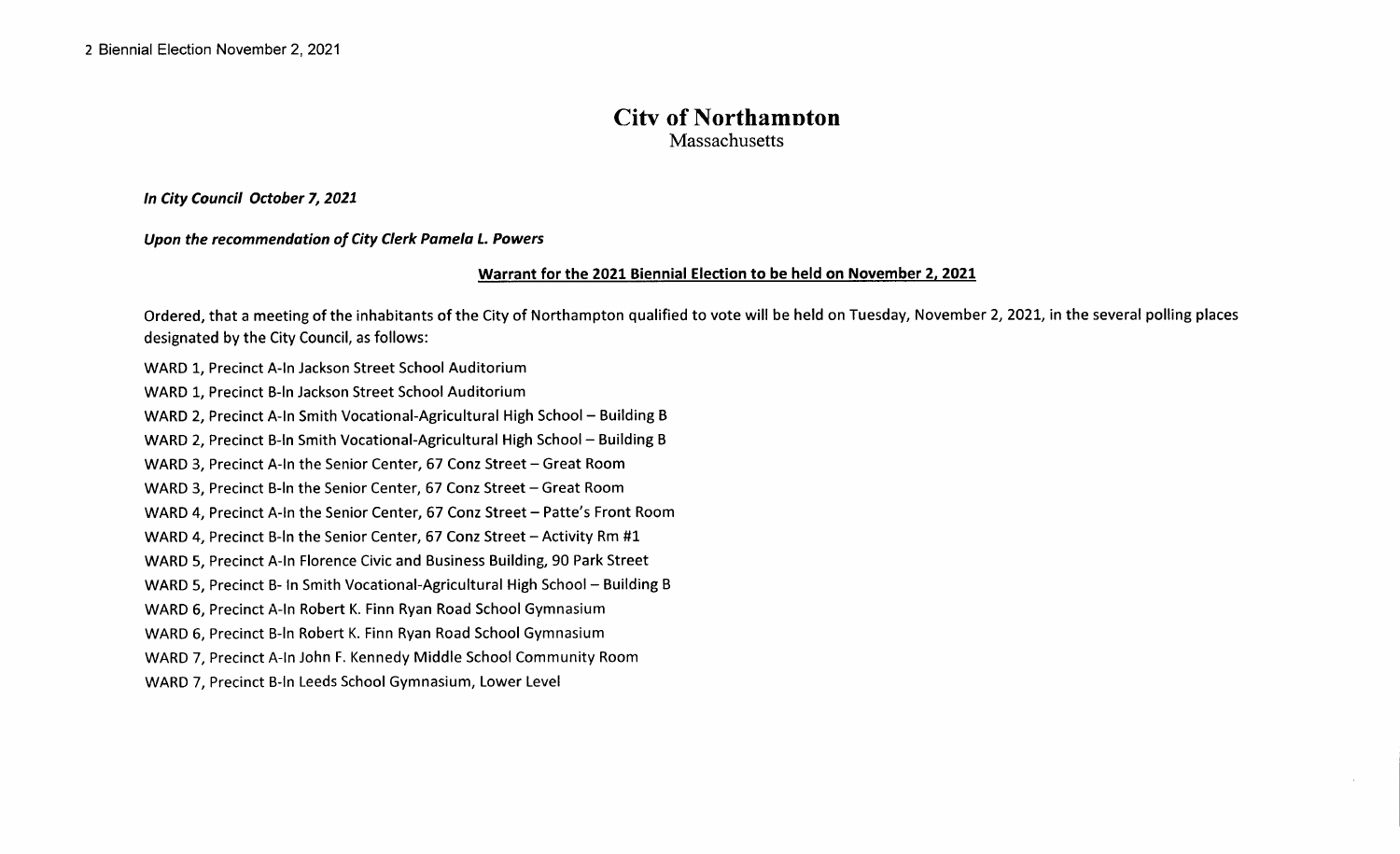#### City of Northampton **Massachusetts**

In City Council October 7, 2021

Upon the recommendation of City Clerk Pamela L. Powers

#### Warrant for the 2021 Biennial Election to be held on November 2, 2021

Ordered, that <sup>a</sup> meeting of the inhabitants of the City of Northampton qualified to vote will be held on Tuesday, November 2, 2021, in the several polling places designated by the City Council, as follows:

WARD 1, Precinct A-In Jackson Street School Auditorium WARD 1, Precinct B-In Jackson Street School Auditorium WARD 2, Precinct A-In Smith Vocational-Agricultural High School - Building B WARD 2, Precinct B-In Smith Vocational-Agricultural High School - Building B WARD 3, Precinct A-In the Senior Center, 67 Conz Street - Great Room WARD 3, Precinct B-In the Senior Center, 67 Conz Street - Great Room WARD 4, Precinct A-In the Senior Center, 67 Conz Street - Patte's Front Room WARD 4, Precinct B-In the Senior Center, 67 Conz Street - Activity Rm #1 WARD 5, Precinct A-In Florence Civic and Business Building, 90 Park Street WARD 5, Precinct B- In Smith Vocational-Agricultural High School - Building B WARD 6, Precinct A-In Robert K. Finn Ryan Road School Gymnasium WARD 6, Precinct B-In Robert K. Finn Ryan Road School Gymnasium WARD 7, Precinct A-In John F. Kennedy Middle School Community Room WARD 7. Precinct B-In Leeds School Gymnasium, Lower Level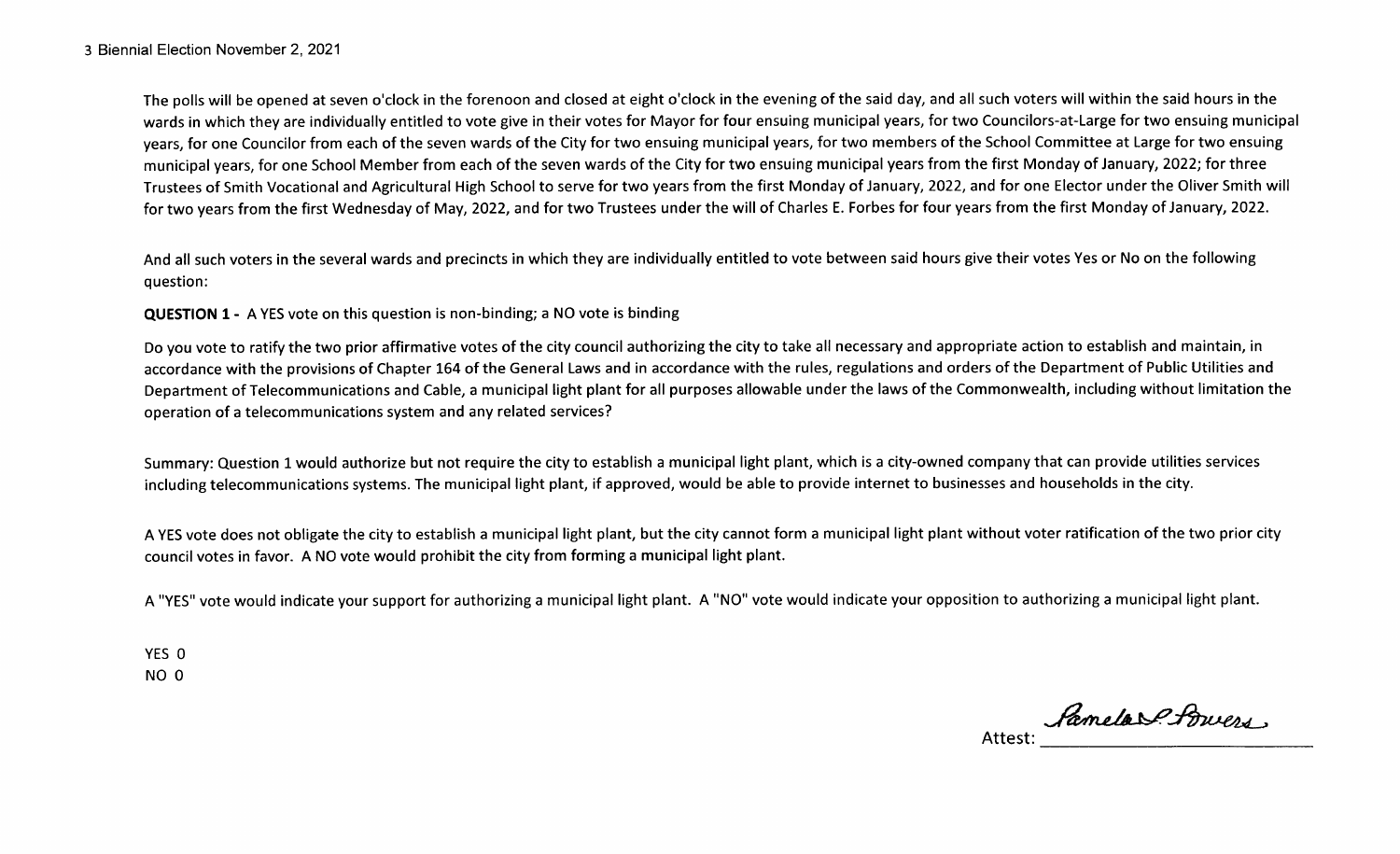The polls will be opened at seven o'clock in the forenoon and closed at eight o'clock in the evening of the said day, and all such voters will within the said hours in the wards in which they are individually entitled to vote give in their votes for Mayor for four ensuing municipal years, for two Councilors-at-Large for two ensuing municipal years, for one Councilor from each of the seven wards of the City for two ensuing municipal years, for two members of the School Committee at Large for two ensuing municipal years, for one School Member from each of the seven wards of the City for two ensuing municipal years from the first Monday of January, 2022; for three Trustees of Smith Vocational and Agricultural High School to serve for two years from the first Monday of January, 2022, and for one Elector under the Oliver Smith will for two years from the first Wednesday of May, 2022, and for two Trustees under the will of Charles E. Forbes for four years from the first Monday of January, 2022.

And all such voters in the several wards and precincts in which they are individually entitled to vote between said hours give their votes Yes or No on the following question:

QUESTION 1 - A YES vote on this question is non-binding; a NO vote is binding

Do you vote to ratify the two prior affirmative votes of the city council authorizing the city to take all necessary and appropriate action to establish and maintain, in accordance with the provisions of Chapter 164 of the General Laws and in accordance with the rules, regulations and orders of the Department of Public Utilities and Department of Telecommunications and Cable, a municipal light plant for all purposes allowable under the laws of the Commonwealth, including without limitation the operation of <sup>a</sup> telecommunications system and any related services?

Summary: Question 1 would authorize but not require the city to establish a municipal light plant, which is a city-owned company that can provide utilities services including telecommunications systems. The municipal light plant, if approved, would be able to provide internet to businesses and households in the city.

A YES vote does not obligate the city to establish <sup>a</sup> municipal light plant, but the city cannot form <sup>a</sup> municipal light plant without voter ratification of the two prior city council votes in favor. A NO vote would prohibit the city from forming <sup>a</sup> municipal light plant.

A " YES" vote would indicate your support for authorizing <sup>a</sup> municipal light plant. A " NO" vote would indicate your opposition to authorizing <sup>a</sup> municipal light plant.

YES 0 NO O

Attest: Lamelas Burers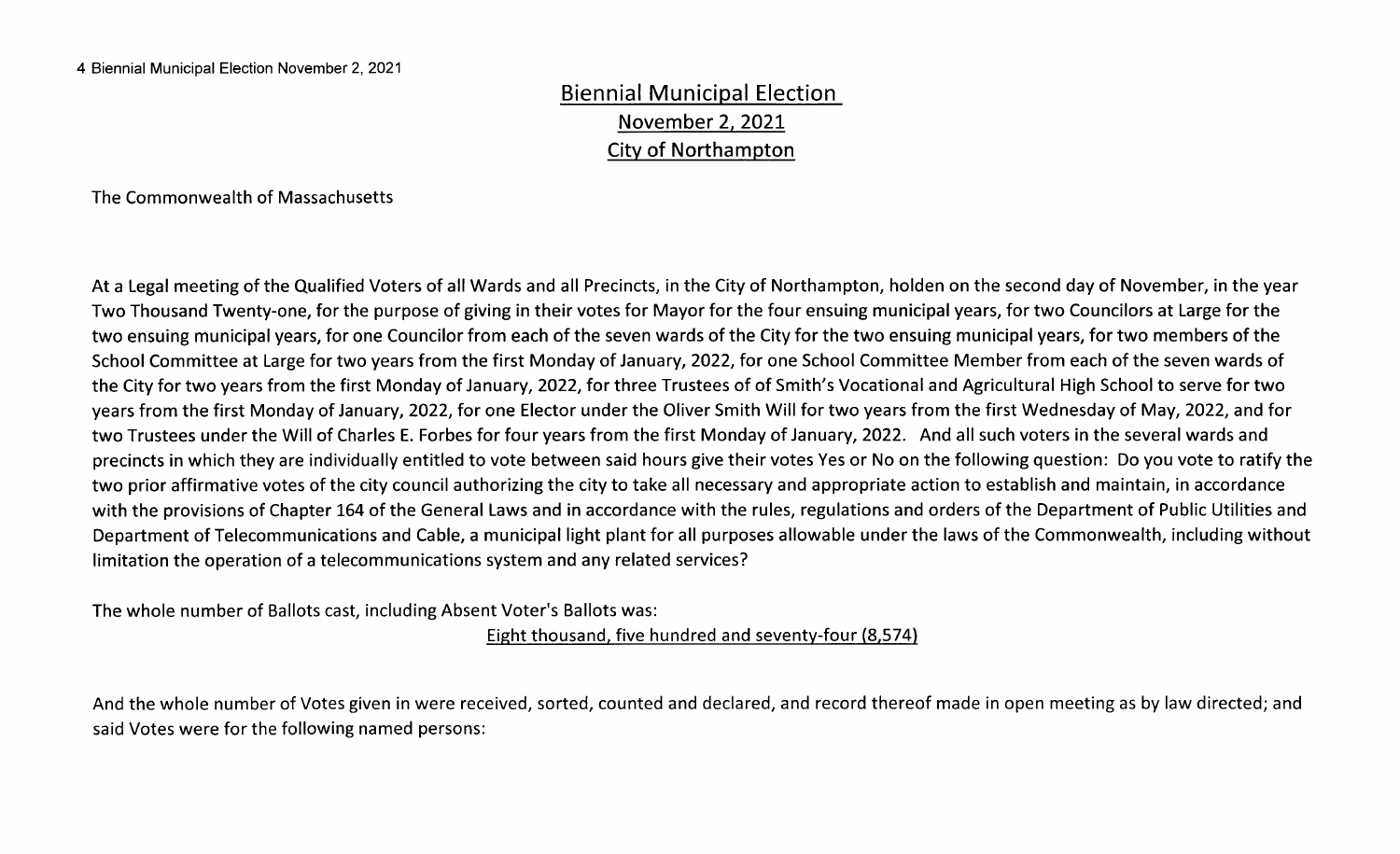#### Biennial Municipal Election November 2, 2021 City of Northampton

The Commonwealth of Massachusetts

At <sup>a</sup> Legal meeting of the Qualified Voters of all Wards and all Precincts, in the City of Northampton, holden on the second day of November, in the year Two Thousand Twenty-one, for the purpose of giving in their votes for Mayor for the four ensuing municipal years, for two Councilors at Large for the two ensuing municipal years, for one Councilor from each of the seven wards of the City for the two ensuing municipal years, for two members of the School Committee at Large for two years from the first Monday of January, 2022, for one School Committee Member from each of the seven wards of the City for two years from the first Monday of January, 2022, for three Trustees of of Smith's Vocational and Agricultural High School to serve for two years from the first Monday of January, 2022, for one Elector under the Oliver Smith Will for two years from the first Wednesday of May, 2022, and for two Trustees under the Will of Charles E. Forbes for four years from the first Monday of January, 2022. And all such voters in the several wards and precincts in which they are individually entitled to vote between said hours give their votes Yes or No on the following question: Do you vote to ratify the two prior affirmative votes of the city council authorizing the city to take all necessary and appropriate action to establish and maintain, in accordance with the provisions of Chapter 164 of the General Laws and in accordance with the rules, regulations and orders of the Department of Public Utilities and Department of Telecommunications and Cable, a municipal light plant for all purposes allowable under the laws of the Commonwealth, including without limitation the operation of <sup>a</sup> telecommunications system and any related services?

The whole number of Ballots cast, including Absent Voter's Ballots was:

Eight thousand, five hundred and seventy-four (8,574)

And the whole number of Votes given in were received, sorted, counted and declared, and record thereof made in open meeting as by law directed; and said Votes were for the following named persons: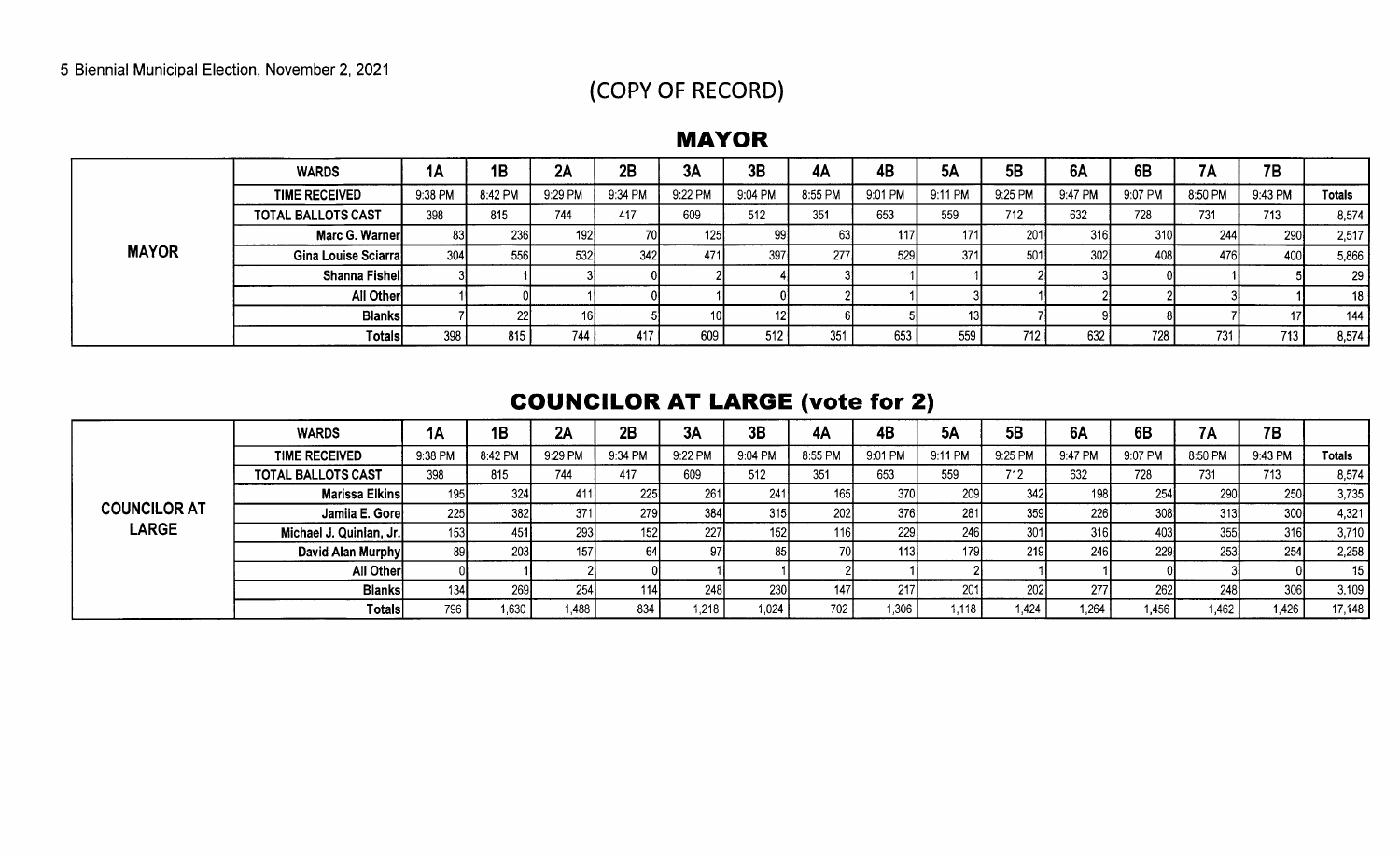# COPY OF RECORD)

#### MAYOR

|              | <b>WARDS</b>         | 1Α      | 1B         | 2A      | 2B         | 3A               | 3B        | 4A      | 4B         | <b>5A</b> | 5 <b>B</b>       | 6A               | 6B      | 7Α      | <b>7B</b>        |               |
|--------------|----------------------|---------|------------|---------|------------|------------------|-----------|---------|------------|-----------|------------------|------------------|---------|---------|------------------|---------------|
|              | <b>TIME RECEIVED</b> | 9:38 PM | 8:42 PM    | 9:29 PM | 9:34 PM    | 9:22 PM          | 9:04 PM   | 8:55 PM | 9:01 PM    | 9:11 PM   | 9:25 PM          | 9:47 PM          | 9:07 PM | 8:50 PM | 9:43 PM          | <b>Totals</b> |
|              | TOTAL BALLOTS CAST   | 398     | 815        | 744     | 417        | 609              | 512       | 351     | 653        | 559       | 712              | 632              | 728     | 731     | 713              | 8,574         |
|              | Marc G. Warner       | 831     | <b>236</b> | 1921    |            | 125 <sub>1</sub> | oc<br>-24 | 631     | <b>117</b> | 171       | 201              | 316 <sub>1</sub> | 310I    | 244     | 290              | 2,517         |
| <b>MAYOR</b> | Gina Louise Sciarra  | 304     | 556I       | -5321   | <b>342</b> | 471              | 397       | 277     | 529        | 371       | 501              | 302              | 408     | 476     | 400              | 5,866         |
|              | Shanna Fishel        |         |            |         |            |                  |           |         |            |           |                  |                  |         |         |                  | 29            |
|              | All Other            |         |            |         |            |                  |           |         |            |           |                  |                  |         |         |                  | 18            |
|              | <b>Blanks</b>        |         | -221-      | 16 I    |            |                  |           |         |            |           |                  |                  |         |         |                  | 144           |
|              | Totals               | 398     | 815        | 744     | 417        | 609              | 512       | 351     | 653        | 559       | 712 <sub>1</sub> | 632              | 728     | 731     | 713 <sub>1</sub> | 8,574         |

# **COUNCILOR AT LARGE (vote for 2)**

|                              | <b>WARDS</b>              | IA               | 1B      | 2A               | 2B      | 3A      | 3B      | 4A      | 4B      | 5Α        | <b>5B</b>  | 6A         | 6B      | <b>7A</b> | 7B      |                 |
|------------------------------|---------------------------|------------------|---------|------------------|---------|---------|---------|---------|---------|-----------|------------|------------|---------|-----------|---------|-----------------|
|                              | <b>TIME RECEIVED</b>      | 9:38 PM          | 8:42 PM | 9:29 PM          | 9:34 PM | 9:22 PM | 9:04 PM | 8:55 PM | 9:01 PM | 9:11 PM   | 9:25 PM    | 9:47 PM    | 9:07 PM | 8:50 PM   | 9:43 PM | <b>Totals</b>   |
|                              | <b>TOTAL BALLOTS CAST</b> | 398              | 815     | 744              | 417     | 609     | 512     | 351     | 653     | 559       | 712        | 632        | 728     | 731       | 713     | 8,574           |
|                              | Marissa Elkins            | 195              | 324     |                  | 225     | 261     | 241     | 165     | 370     | ۷IJ       | 342I       | 198        | 254     | 290       | 250     | 3,735           |
| <b>COUNCILOR AT</b><br>LARGE | Jamila E. Gore            | 225              | 382     | 371              | 279     | 384     | 315     | 202     | 376     | 281       | 359        | 226        | 308     | 313       | 300     | 4,321           |
|                              | Michael J. Quinian, Jr.   | 153              | 451     | 293              | 1521    | 227     | 1521    | 116     | 229     | 246       | 301        | 316I       |         | 355       | 316     | 3,710           |
|                              | David Alan Murphy         | 891              | 203     | 157 <sub>1</sub> |         |         |         | 70      | 113.    |           | <b>219</b> | <b>246</b> | 229     | 253       | 254     | 2,258           |
|                              | All Other                 |                  |         |                  |         |         |         |         |         |           |            |            |         |           |         | 15 <sub>1</sub> |
|                              | <b>Blanks</b>             | 134 <sub>1</sub> | 269     | 254              | 114l    | 248     | 230     | 147I    | 217     | -2011     | -2021      | <b>277</b> | 262     | 248       | 306     | 3,109           |
|                              | Totals                    | 796              | 1,630   | l.488            | 834     | 1,218   | 1,024   | 702     | 1,306   | $1,118$ , | ,424       | 1,264      | 1.456   | 1,462     | 1,426   | 17,148          |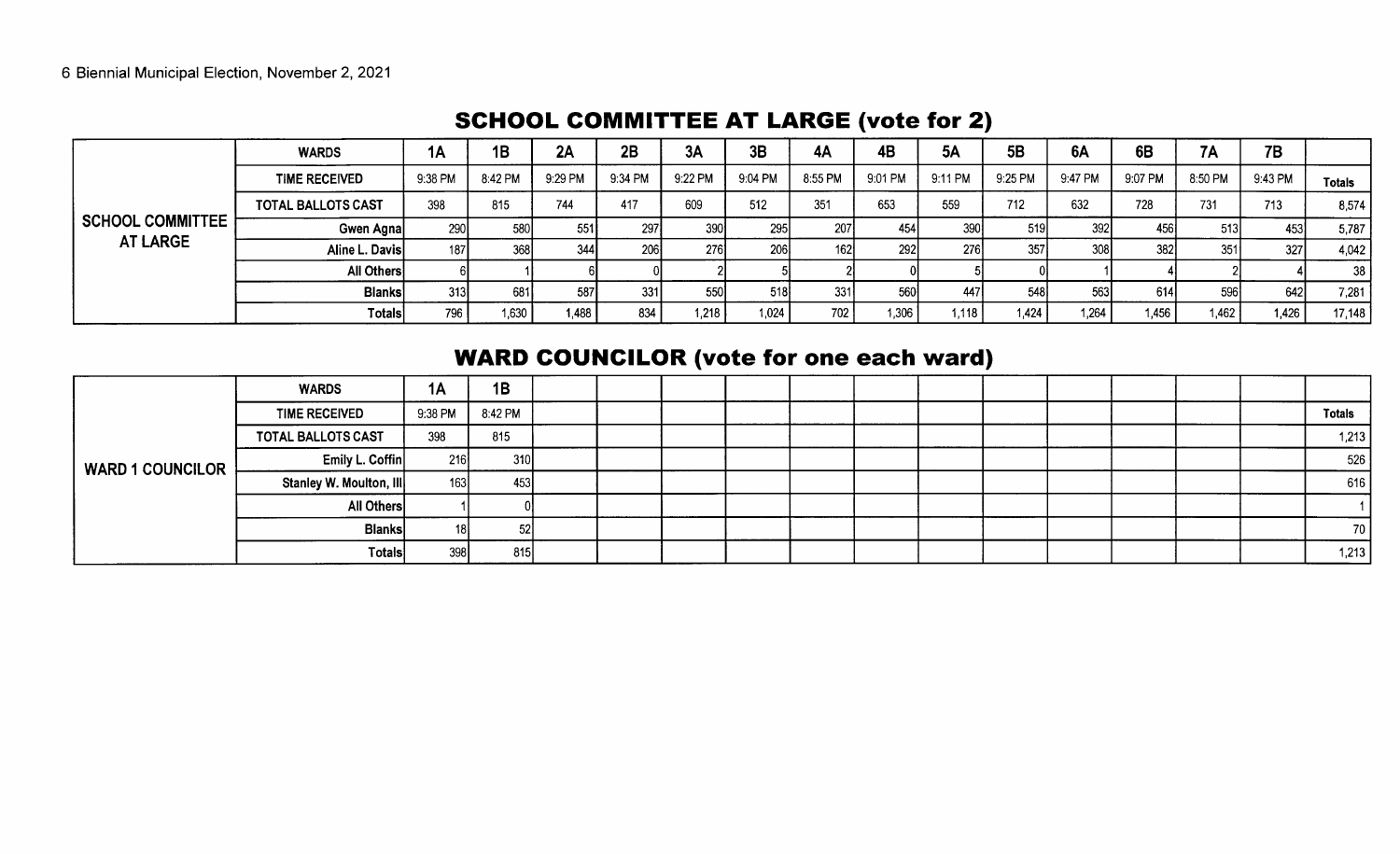|                                            | <b>WARDS</b>              | <b>1A</b>  | 1B      | 2A      | 2B      | 3A              | 3B      | 4A      | 4B      | <b>5A</b>        | <b>5B</b> | <b>6A</b>  | 6B      | 7A      | 7B      |               |
|--------------------------------------------|---------------------------|------------|---------|---------|---------|-----------------|---------|---------|---------|------------------|-----------|------------|---------|---------|---------|---------------|
|                                            | <b>TIME RECEIVED</b>      | 9:38 PM    | 8:42 PM | 9:29 PM | 9:34 PM | 9.22 PM         | 9:04 PM | 8:55 PM | 9:01 PM | 9:11 PM          | 9:25 PM   | 9.47 PM    | 9:07 PM | 8:50 PM | 9:43 PM | <b>Totals</b> |
|                                            | <b>TOTAL BALLOTS CAST</b> | 398        | 815     | 744     | 417     | 609             | 512     | 351     | 653     | 559              | 712       | 632        | 728     | 731     | 713     | 8,574         |
| <b>SCHOOL COMMITTEE</b><br><b>AT LARGE</b> | Gwen Agna                 | <b>290</b> | 580     | 551     | 297     | 390 <sup></sup> | 295     | 207     | 454     | 390 <sub>1</sub> | -519I     | <b>392</b> | 456     | 513     | 453     | 5,787         |
|                                            | Aline L. Davis            | 187        | 368     | -344 I  | 206     | 2761            | 206     | 1621    | 292     | <b>276</b>       | 357       | 308        | 382     | 351     | 327     | 4,042         |
|                                            | All Others                |            |         |         |         |                 |         |         |         |                  |           |            |         |         |         | 38            |
|                                            | <b>Blanks</b>             | 313        | 681     | 587     | 331     | 550             | 518     | 331     | 560     | 447              | 548       | 563        | 614     | -596l   | 642I    | 7,281         |
|                                            | Totals                    | 796        | 1,630   | 1.488   | 834     | 1,218           | 1,024   | 702     | 1,306   | 1,118            | 1,424     | 1,264      | 1.456   | 1,462   | 1,426   | 17,148        |

#### SCHOOL COMMITTEE AT LARGE (vote for 2)

# **WARD COUNCILOR (vote for one each ward)**

|                         | <b>WARDS</b>            | 1A      | 1B      |  |  |  |  |  |  |               |
|-------------------------|-------------------------|---------|---------|--|--|--|--|--|--|---------------|
|                         | <b>TIME RECEIVED</b>    | 9:38 PM | 8:42 PM |  |  |  |  |  |  | <b>Totals</b> |
|                         | TOTAL BALLOTS CAST      | 398     | 815     |  |  |  |  |  |  | 1,213         |
| <b>WARD 1 COUNCILOR</b> | Emily L. Coffin         | 216     | 310     |  |  |  |  |  |  | 526           |
|                         | Stanley W. Moulton, III | 163     | 453     |  |  |  |  |  |  | 616           |
|                         | All Others              |         |         |  |  |  |  |  |  |               |
|                         | <b>Blanks</b>           | 18I     | -521    |  |  |  |  |  |  | 70 I          |
|                         | <b>Totals</b>           | 398     | 815     |  |  |  |  |  |  | 1,213         |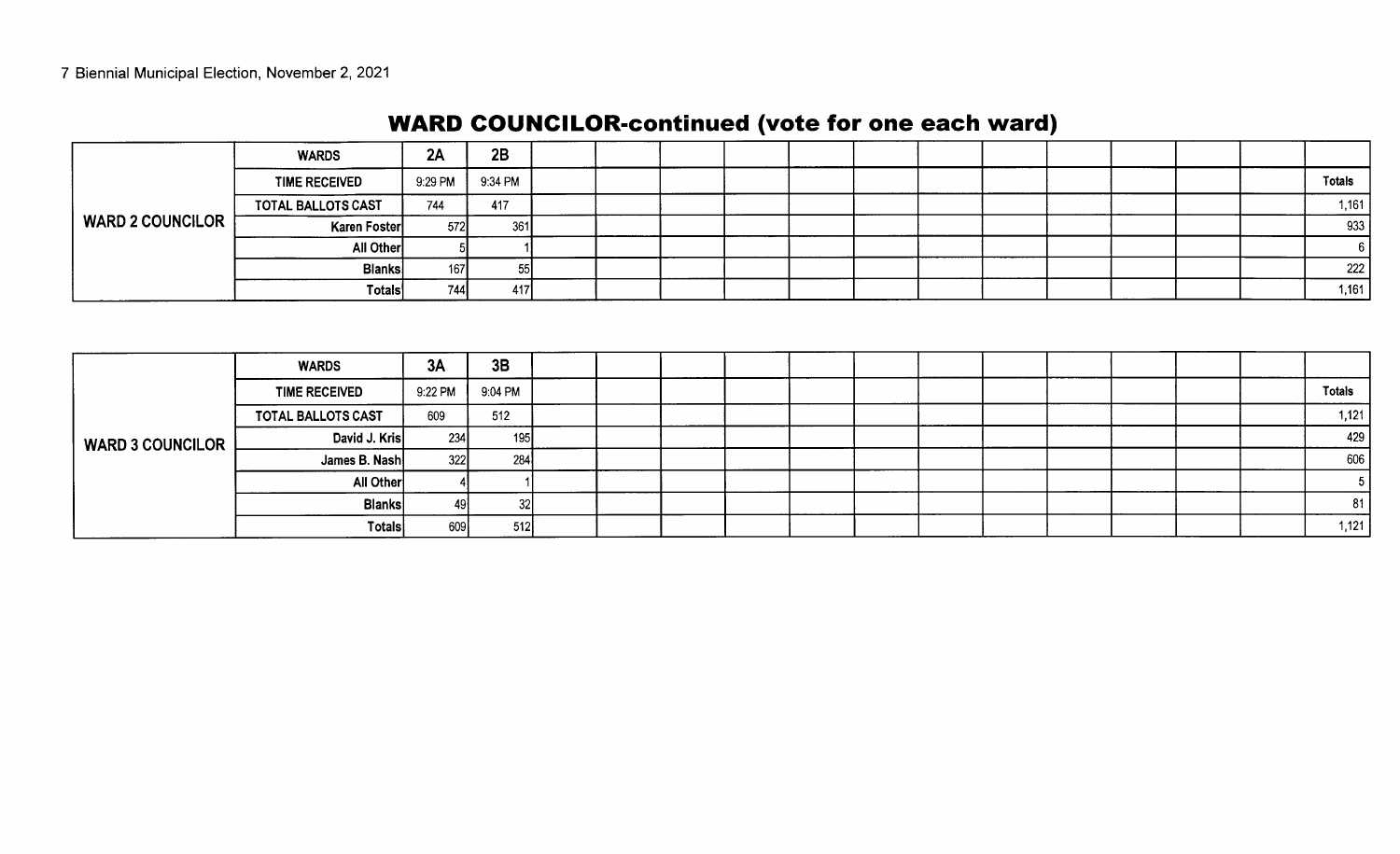# WARD COUNCILOR-continued (vote for one each ward)

|                         | <b>WARDS</b>         | 2A      | 2B      |  |  |  |  |  |  |               |
|-------------------------|----------------------|---------|---------|--|--|--|--|--|--|---------------|
|                         | <b>TIME RECEIVED</b> | 9:29 PM | 9:34 PM |  |  |  |  |  |  | <b>Totals</b> |
| <b>WARD 2 COUNCILOR</b> | TOTAL BALLOTS CAST   | 744     | 417     |  |  |  |  |  |  | 1,161         |
|                         | Karen Foster         | 572     | 361     |  |  |  |  |  |  | 933           |
|                         | All Other            |         |         |  |  |  |  |  |  |               |
|                         | <b>Blanks</b>        | 167     | 551     |  |  |  |  |  |  | 222           |
|                         | Totals               | 744     | 417     |  |  |  |  |  |  | 1,161         |

|                         | <b>WARDS</b>         | 3A      | 3B              |  |  |  |  |  |  |               |
|-------------------------|----------------------|---------|-----------------|--|--|--|--|--|--|---------------|
|                         | <b>TIME RECEIVED</b> | 9:22 PM | 9:04 PM         |  |  |  |  |  |  | <b>Totals</b> |
|                         | TOTAL BALLOTS CAST   | 609     | 512             |  |  |  |  |  |  | 1,121         |
| <b>WARD 3 COUNCILOR</b> | David J. Kris        | 234     | 195             |  |  |  |  |  |  | 429           |
|                         | James B. Nash        | 322     | 284             |  |  |  |  |  |  | 606           |
|                         | All Other            |         |                 |  |  |  |  |  |  |               |
|                         | <b>Blanks</b>        | 49      | 32 <sub>l</sub> |  |  |  |  |  |  | 81            |
|                         | <b>Totals</b>        | 609     | 512             |  |  |  |  |  |  | 1,121         |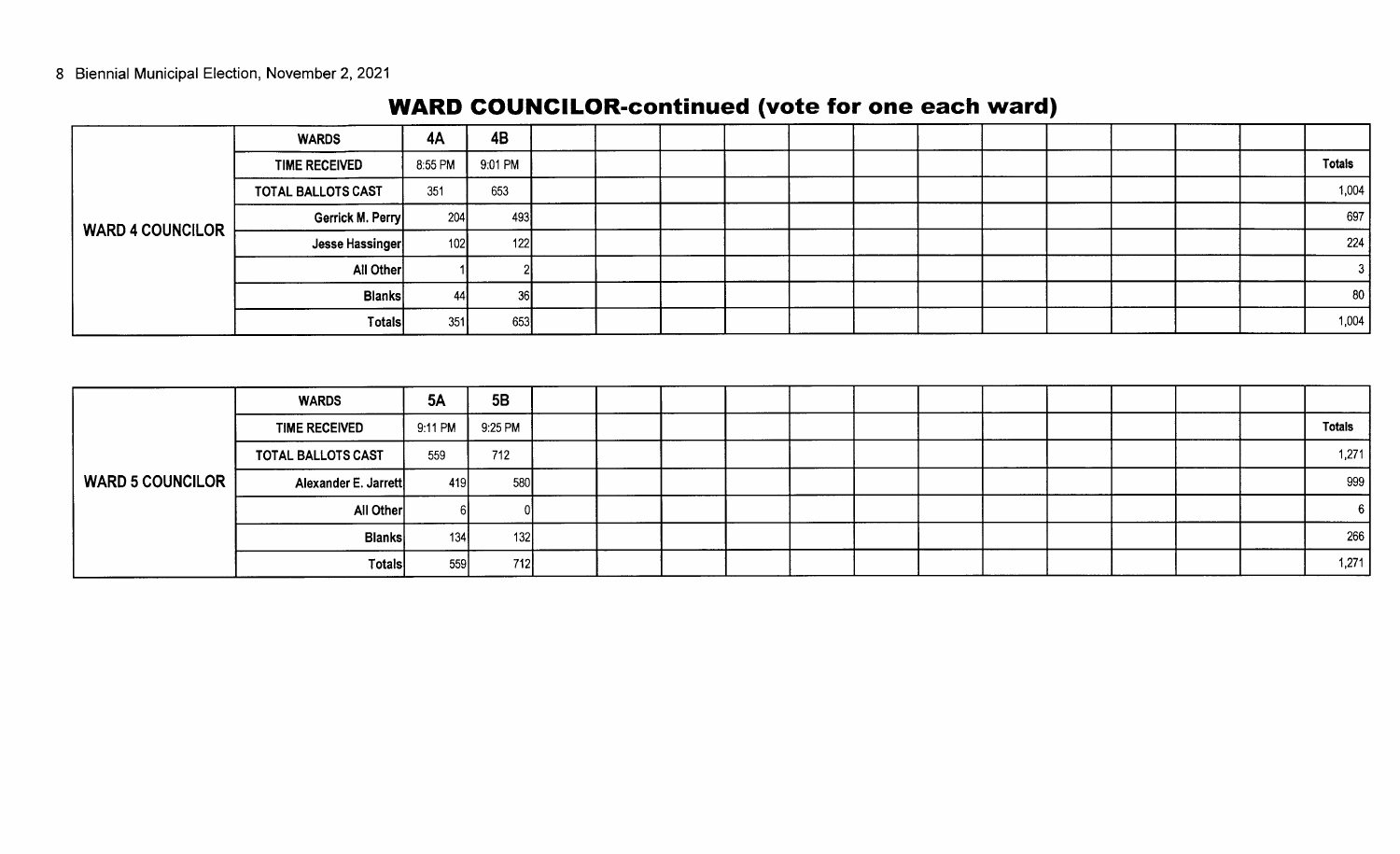|                         | <b>WARDS</b>         | 4A      | 4B        |  |  |  |  |  |  |        |
|-------------------------|----------------------|---------|-----------|--|--|--|--|--|--|--------|
|                         | <b>TIME RECEIVED</b> | 8:55 PM | 9:01 PM   |  |  |  |  |  |  | Totals |
|                         | TOTAL BALLOTS CAST   | 351     | 653       |  |  |  |  |  |  | 1,004  |
| <b>WARD 4 COUNCILOR</b> | Gerrick M. Perry     | 204     | 493       |  |  |  |  |  |  | 697    |
|                         | Jesse Hassinger      | 102     | 122       |  |  |  |  |  |  | 224    |
|                         | All Other            |         |           |  |  |  |  |  |  |        |
|                         | <b>Blanks</b>        | 44      | <b>36</b> |  |  |  |  |  |  | 80     |
|                         | <b>Totals</b>        | 351     | 653       |  |  |  |  |  |  | 1,004  |

# WARD COUNCILOR-continued (vote for one each ward)

|                         | <b>WARDS</b>         | <b>5A</b> | 5B      |  |  |  |  |  |  |               |
|-------------------------|----------------------|-----------|---------|--|--|--|--|--|--|---------------|
|                         | <b>TIME RECEIVED</b> | 9:11 PM   | 9:25 PM |  |  |  |  |  |  | <b>Totals</b> |
|                         | TOTAL BALLOTS CAST   | 559       | 712     |  |  |  |  |  |  | 1,271         |
| <b>WARD 5 COUNCILOR</b> | Alexander E. Jarrett | 419       | 580     |  |  |  |  |  |  | 999           |
|                         | All Other            |           |         |  |  |  |  |  |  |               |
|                         | <b>Blanks</b>        | 134       | 1321    |  |  |  |  |  |  | 266           |
|                         | <b>Totals</b>        | 559       | 7121    |  |  |  |  |  |  | 1,271         |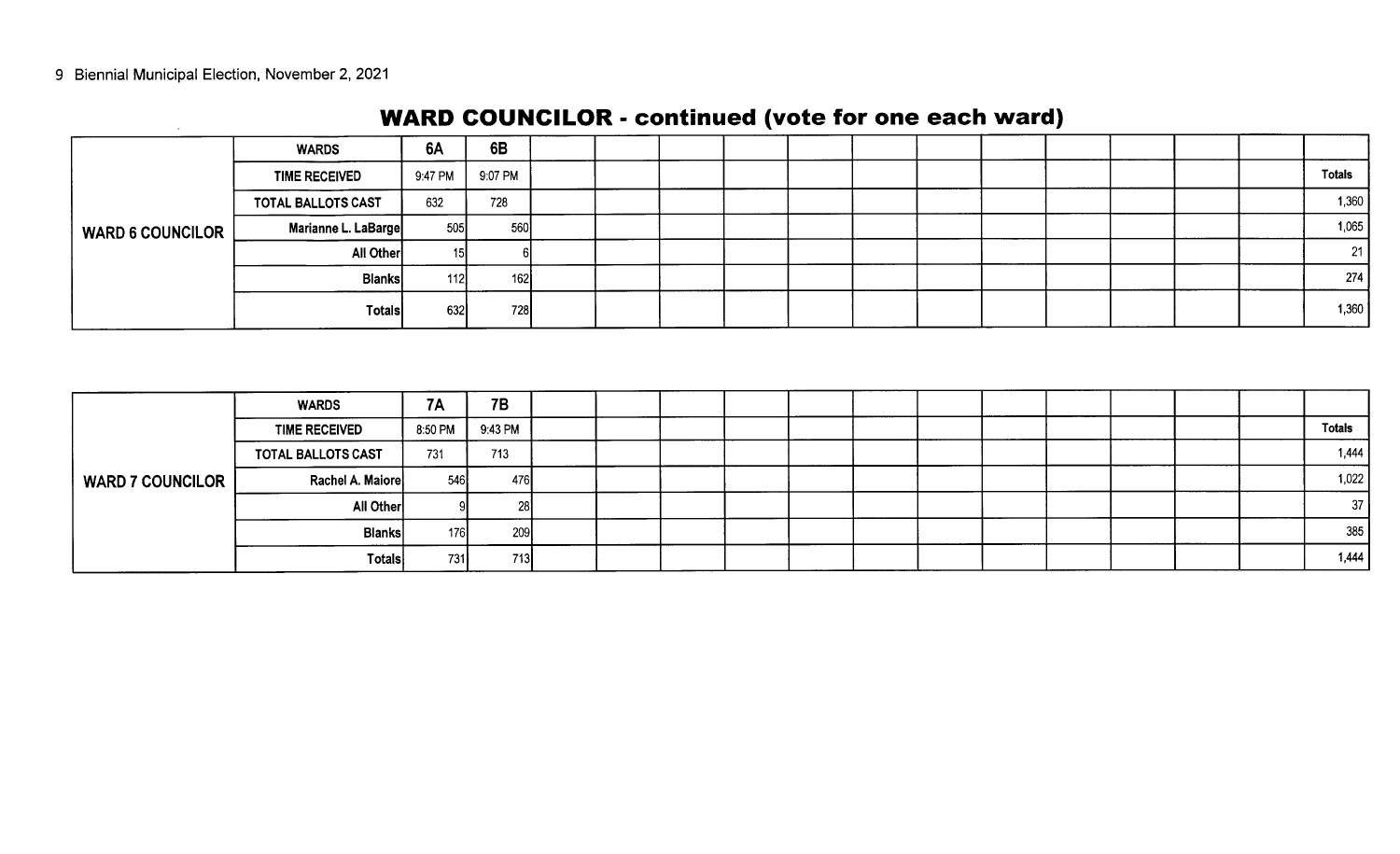|                         | <b>WARDS</b>         | <b>6A</b> | 6B      |  |  |  |  |  |  |               |
|-------------------------|----------------------|-----------|---------|--|--|--|--|--|--|---------------|
|                         | <b>TIME RECEIVED</b> | 9:47 PM   | 9:07 PM |  |  |  |  |  |  | <b>Totals</b> |
|                         | TOTAL BALLOTS CAST   | 632       | 728     |  |  |  |  |  |  | 1,360         |
| <b>WARD 6 COUNCILOR</b> | Marianne L. LaBarge  | 505       | 560     |  |  |  |  |  |  | 1,065         |
|                         | All Other            | 15I       |         |  |  |  |  |  |  | 21            |
|                         | <b>Blanks</b>        | 112       | 162     |  |  |  |  |  |  | 274           |
|                         | Totals               | 632       | 728     |  |  |  |  |  |  | 1,360         |

# WARD COUNCILOR - continued (vote for one each ward)

|                         | <b>WARDS</b>              | <b>7A</b> | 7B      |  |  |  |  |  |  |               |
|-------------------------|---------------------------|-----------|---------|--|--|--|--|--|--|---------------|
|                         | <b>TIME RECEIVED</b>      | 8:50 PM   | 9:43 PM |  |  |  |  |  |  | <b>Totals</b> |
|                         | <b>TOTAL BALLOTS CAST</b> | 731       | 713     |  |  |  |  |  |  | 1,444         |
| <b>WARD 7 COUNCILOR</b> | Rachel A. Maiore          | 546       | 476     |  |  |  |  |  |  | 1,022         |
|                         | All Other                 |           | 28.     |  |  |  |  |  |  | 37            |
|                         | <b>Blanks</b>             | 176       | 209     |  |  |  |  |  |  | 385           |
|                         | Totals                    | 731       | 713     |  |  |  |  |  |  | 1,444         |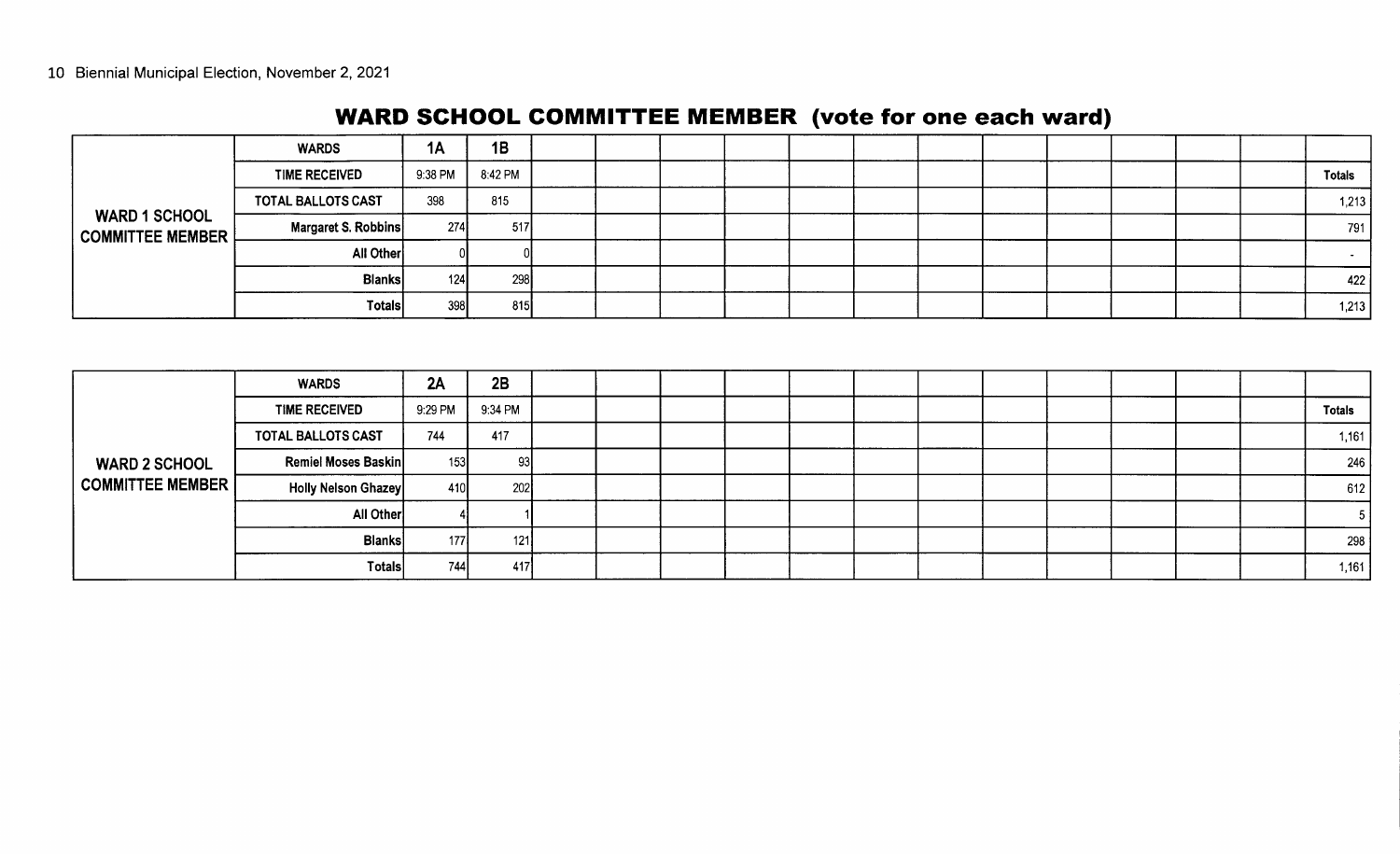# WARD SCHOOL COMMITTEE MEMBER (vote for one each ward)

|                      | <b>WARDS</b>         | 1A      | 1B            |  |  |  |  |  |  |               |
|----------------------|----------------------|---------|---------------|--|--|--|--|--|--|---------------|
|                      | <b>TIME RECEIVED</b> | 9:38 PM | 8:42 PM       |  |  |  |  |  |  | <b>Totals</b> |
|                      | TOTAL BALLOTS CAST   | 398     | 815           |  |  |  |  |  |  | 1,213         |
| <b>WARD 1 SCHOOL</b> | Margaret S. Robbins  | 274     | 517           |  |  |  |  |  |  | 791           |
|                      | All Other            |         |               |  |  |  |  |  |  | $\sim$        |
|                      | <b>Blanks</b>        | 124     | -298 <b>I</b> |  |  |  |  |  |  | 422           |
|                      | Totals               | 398     | 815           |  |  |  |  |  |  | 1,213         |

|                                          | <b>WARDS</b>         | 2A      | 2B      |  |  |  |  |  |  |               |
|------------------------------------------|----------------------|---------|---------|--|--|--|--|--|--|---------------|
|                                          | <b>TIME RECEIVED</b> | 9:29 PM | 9:34 PM |  |  |  |  |  |  | <b>Totals</b> |
|                                          | TOTAL BALLOTS CAST   | 744     | 417     |  |  |  |  |  |  | 1,161         |
| <b>WARD 2 SCHOOL</b><br>COMMITTEE MEMBER | Remiel Moses Baskin  | 153     | -931    |  |  |  |  |  |  | 246           |
|                                          | Holly Nelson Ghazey  | 410     | 202     |  |  |  |  |  |  | 612           |
|                                          | All Other            |         |         |  |  |  |  |  |  |               |
|                                          | <b>Blanks</b>        | 177     | 121     |  |  |  |  |  |  | 298           |
|                                          | <b>Totals</b>        | 7441    | 417     |  |  |  |  |  |  | 1,161         |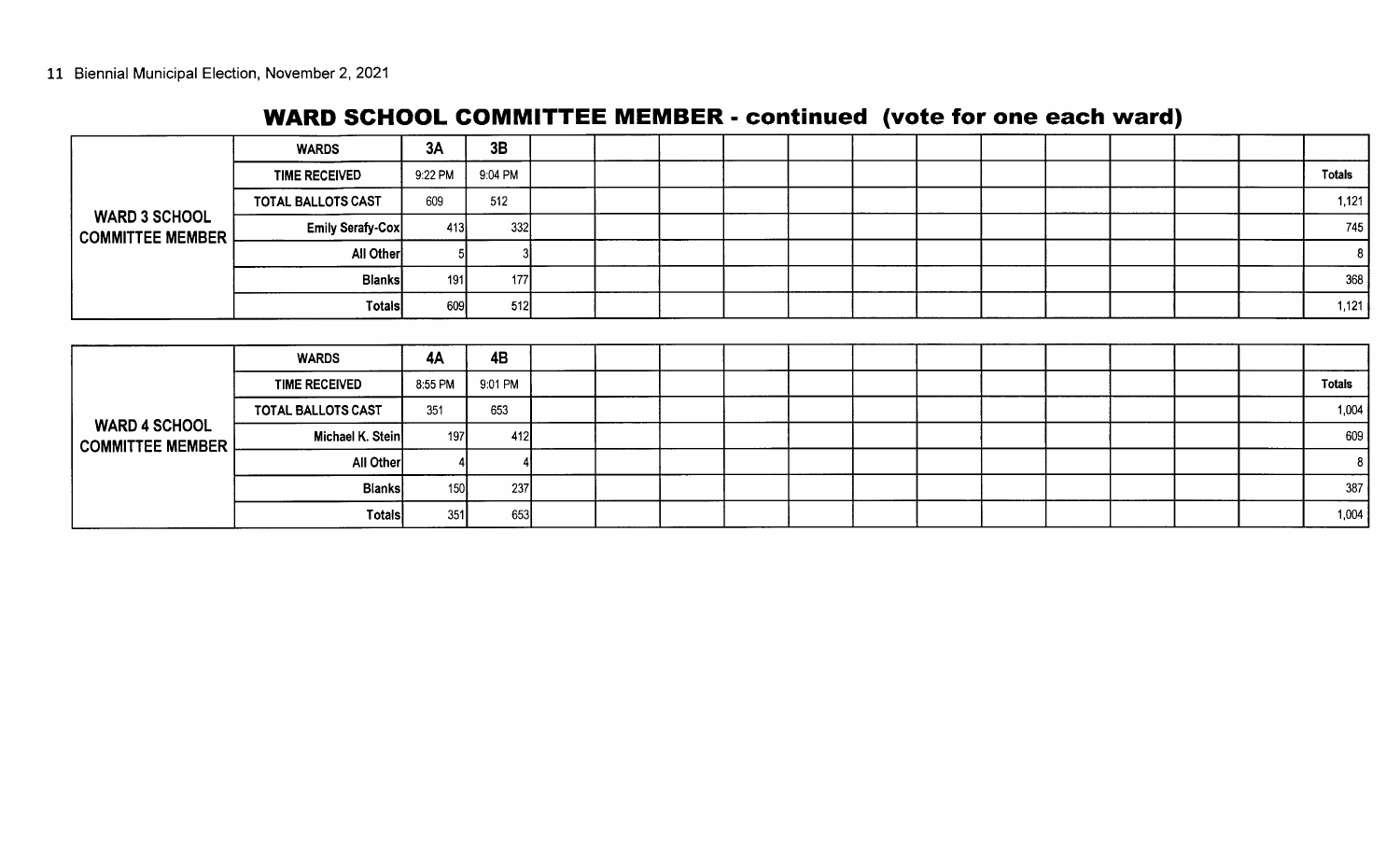### WARD SCHOOL COMMITTEE MEMBER - continued (vote for one each ward)

|                                                 | <b>WARDS</b>         | 3A        | 3B        |  |  |  |  |  |  |               |
|-------------------------------------------------|----------------------|-----------|-----------|--|--|--|--|--|--|---------------|
|                                                 | <b>TIME RECEIVED</b> | 9:22 PM   | 9:04 PM   |  |  |  |  |  |  | <b>Totals</b> |
|                                                 | TOTAL BALLOTS CAST   | 609       | 512       |  |  |  |  |  |  | 1,121         |
| <b>WARD 3 SCHOOL</b><br><b>COMMITTEE MEMBER</b> | Emily Serafy-Cox     | 413       | 332       |  |  |  |  |  |  | 745           |
|                                                 | <b>All Other</b>     |           |           |  |  |  |  |  |  | -8            |
|                                                 | <b>Blanks</b>        | 191       | 177       |  |  |  |  |  |  | 368           |
|                                                 | Totals               | 609       | 512       |  |  |  |  |  |  | 1,121         |
|                                                 |                      |           |           |  |  |  |  |  |  |               |
|                                                 | <b>WARDS</b>         | <b>4A</b> | <b>4B</b> |  |  |  |  |  |  |               |
|                                                 | <b>TIME RECEIVED</b> | 8:55 PM   | 9:01 PM   |  |  |  |  |  |  | <b>Totals</b> |
|                                                 | TOTAL BALLOTS CAST   | 351       | 653       |  |  |  |  |  |  | 1,004         |
| <b>WARD 4 SCHOOL</b><br><b>COMMITTEE MEMBER</b> | Michael K. Stein     | 197       | 412       |  |  |  |  |  |  | 609           |
|                                                 |                      |           |           |  |  |  |  |  |  |               |

All Other 4 4 <sup>8</sup> Blanks 150 237 387 Totals 351 653 1, 004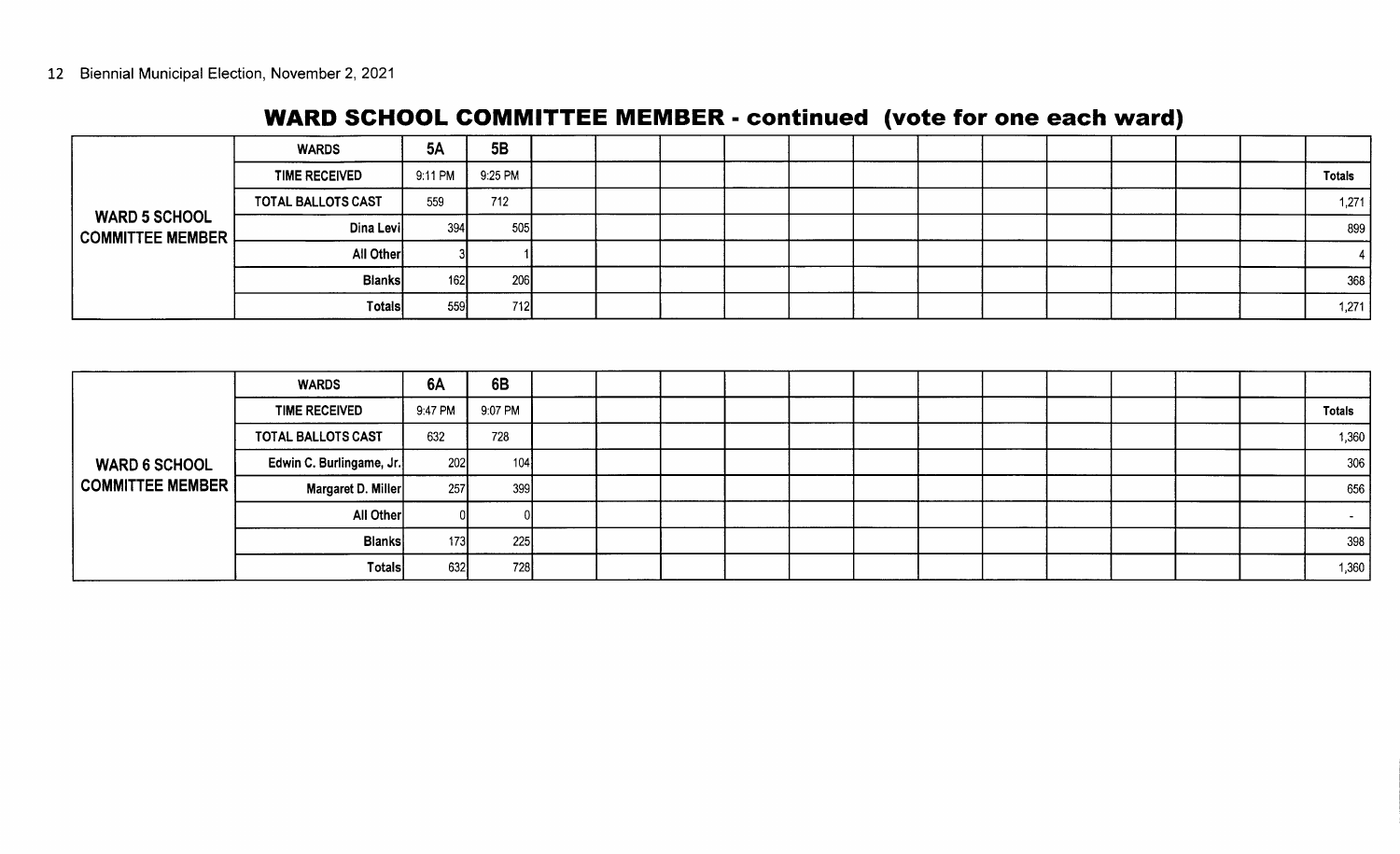### WARD SCHOOL COMMITTEE MEMBER - continued (vote for one each ward)

|                                              | <b>WARDS</b>              | 5A      | 5B         |  |  |  |  |  |  |               |
|----------------------------------------------|---------------------------|---------|------------|--|--|--|--|--|--|---------------|
|                                              | <b>TIME RECEIVED</b>      | 9:11 PM | 9:25 PM    |  |  |  |  |  |  | <b>Totals</b> |
|                                              | <b>TOTAL BALLOTS CAST</b> | 559     | 712        |  |  |  |  |  |  | 1,271         |
| <b>WARD 5 SCHOOL</b><br>│ COMMITTEE MEMBER │ | Dina Levi                 | 394     | 505        |  |  |  |  |  |  | 899           |
|                                              | All Other                 |         |            |  |  |  |  |  |  |               |
|                                              | <b>Blanks</b>             | 162     | <b>206</b> |  |  |  |  |  |  | 368           |
|                                              | <b>Totals</b>             | 559     | <b>712</b> |  |  |  |  |  |  | 1,271         |

|                                            | <b>WARDS</b>             | 6A      | 6B      |  |  |  |  |  |  |               |
|--------------------------------------------|--------------------------|---------|---------|--|--|--|--|--|--|---------------|
|                                            | <b>TIME RECEIVED</b>     | 9:47 PM | 9:07 PM |  |  |  |  |  |  | <b>Totals</b> |
|                                            | TOTAL BALLOTS CAST       | 632     | 728     |  |  |  |  |  |  | 1,360         |
| <b>WARD 6 SCHOOL</b><br>  COMMITTEE MEMBER | Edwin C. Burlingame, Jr. | 202     | 104     |  |  |  |  |  |  | 306           |
|                                            | Margaret D. Miller       | 257     | 399     |  |  |  |  |  |  | 656           |
|                                            | All Other                |         |         |  |  |  |  |  |  |               |
|                                            | <b>Blanks</b>            | 173     | 225     |  |  |  |  |  |  | 398           |
|                                            | Totals                   | 632     | 728     |  |  |  |  |  |  | 1,360         |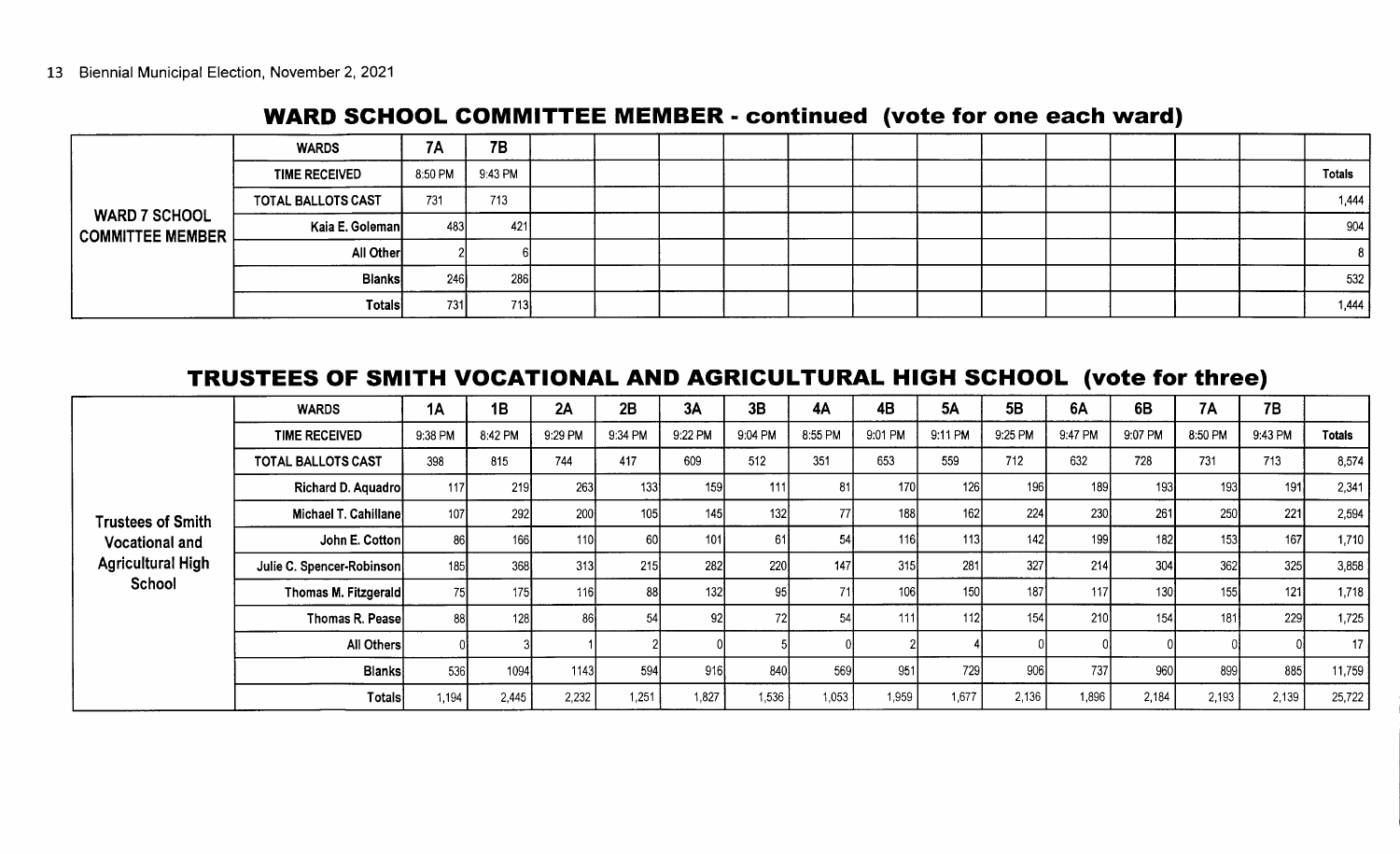#### WARD SCHOOL COMMITTEE MEMBER - continued (vote for one each ward)

|                                          | <b>WARDS</b>         | 7Α      | <b>7B</b> |  |  |  |  |  |  |                |
|------------------------------------------|----------------------|---------|-----------|--|--|--|--|--|--|----------------|
|                                          | <b>TIME RECEIVED</b> | 8:50 PM | 9:43 PM   |  |  |  |  |  |  | <b>Totals</b>  |
|                                          | TOTAL BALLOTS CAST   | 731     | 713       |  |  |  |  |  |  | 1,444          |
| <b>WARD 7 SCHOOL</b><br>COMMITTEE MEMBER | Kaia E. Goleman      | 483     | 421       |  |  |  |  |  |  | 904            |
|                                          | All Other            |         |           |  |  |  |  |  |  | 8 <sup>1</sup> |
|                                          | <b>Blanks</b>        | 246     | 286       |  |  |  |  |  |  | 532            |
|                                          | Totals               | 731     | 713       |  |  |  |  |  |  | 1,444          |

#### TRUSTEES OF SMITH VOCATIONAL AND AGRICULTURAL HIGH SCHOOL (vote for three)

|                                                             | <b>WARDS</b>              | 1A      | 1B      | 2A               | 2B               | 3A              | 3B      | <b>4A</b> | 4B      | <b>5A</b>        | 5B               | 6A         | 6B      | <b>7A</b> | 7B      |               |
|-------------------------------------------------------------|---------------------------|---------|---------|------------------|------------------|-----------------|---------|-----------|---------|------------------|------------------|------------|---------|-----------|---------|---------------|
|                                                             | <b>TIME RECEIVED</b>      | 9:38 PM | 8:42 PM | 9:29 PM          | 9:34 PM          | 9:22 PM         | 9:04 PM | 8:55 PM   | 9:01 PM | 9:11 PM          | 9:25 PM          | 9:47 PM    | 9:07 PM | 8:50 PM   | 9:43 PM | <b>Totals</b> |
|                                                             | <b>TOTAL BALLOTS CAST</b> | 398     | 815     | 744              | 417              | 609             | 512     | 351       | 653     | 559              | 712              | 632        | 728     | 731       | 713     | 8,574         |
|                                                             | Richard D. Aquadro        | 117     | 219     | 263              | 133              | 159             | 111     | 81        | 170     | 126              | 196              | 189        | 193     | 193       | 191     | 2,341         |
| <b>Trustees of Smith</b>                                    | Michael T. Cahillane      | 107     | 292     | 200              | 105 <sub>l</sub> | 145             | 132     | 77        | 188     | 162              | 224              | 230        | 261     | 250       | 221     | 2,594         |
| <b>Vocational and</b><br><b>Agricultural High</b><br>School | John E. Cotton            | -86     | 166     | 110 <sup>1</sup> | 60               | 101             | 61      | 54        | 116     | <u>113</u>       | 142 <sub>1</sub> | 199        | 182     | 153       | 167     | 1,710         |
|                                                             | Julie C. Spencer-Robinson | 185     | 368     | 313              | 215              | 282             | 220     | 147       | 315     | 281              | 327              | 214        | 304     | 362       | 325     | 3,858         |
|                                                             | Thomas M. Fitzgerald      | 75      | 175     | 116              | 88               | 132             | 95      | 74        | 106     | 150 <sub>1</sub> | 187 <sub>1</sub> | <b>117</b> | 130     | 155       | 121     | 1,718         |
|                                                             | Thomas R. Pease           | -88     | 128     | 86I              | 54               | 92 <sub>1</sub> |         | 54        | 1111    | 112              | 154              | 210        | 154     | 181       | 229     | 1,725         |
|                                                             | All Others                |         |         |                  |                  |                 |         |           |         |                  |                  |            |         |           |         | 17            |
|                                                             | <b>Blanks</b>             | 536     | 1094    | 1143             | 594              | 916             | 840     | 569       | 951     | 729              | 906              | 737        | 960     | 899       | 885     | 11,759        |
|                                                             | Totals                    | 1,194   | 2,445   | 2,232            | 1,251            | 1,827           | 1,536   | 1,053     | 1,959   | 1,677            | 2,136            | 1,896      | 2,184   | 2,193     | 2,139   | 25,722        |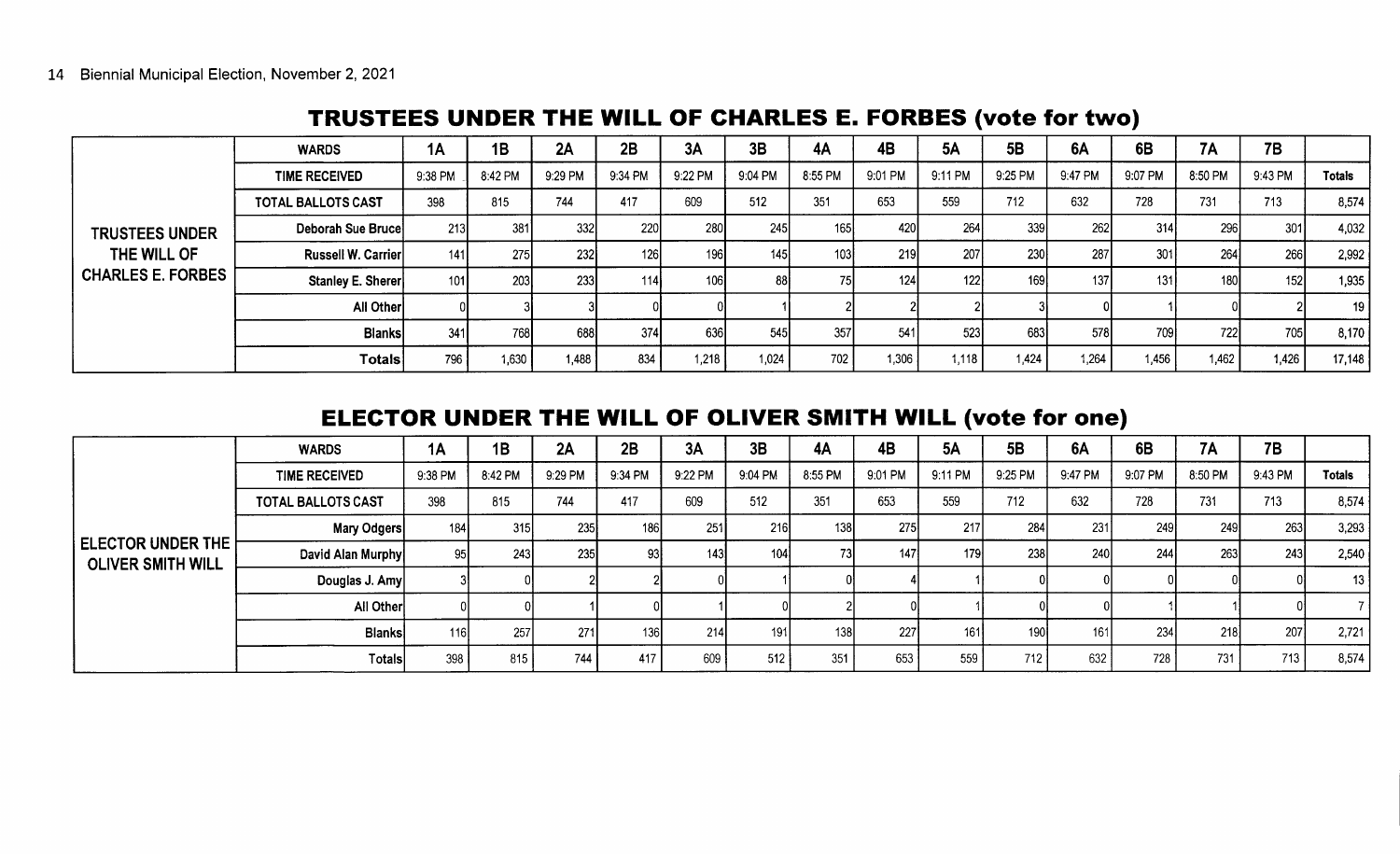# TRUSTEES UNDER THE WILL OF CHARLES E. FORBES ( vote for two)

|                                         | <b>WARDS</b>         | 1A      | 1B      | 2A      | 2B         | 3A               | 3B      | 4A      | 4B         | <b>5A</b>   | 5B               | 6A      | 6B      | 7A      | 7B      |               |
|-----------------------------------------|----------------------|---------|---------|---------|------------|------------------|---------|---------|------------|-------------|------------------|---------|---------|---------|---------|---------------|
|                                         | <b>TIME RECEIVED</b> | 9:38 PM | 8:42 PM | 9:29 PM | 9:34 PM    | 9:22 PM          | 9:04 PM | 8:55 PM | 9:01 PM    | 9:11 PM     | 9:25 PM          | 9:47 PM | 9:07 PM | 8:50 PM | 9:43 PM | <b>Totals</b> |
|                                         | TOTAL BALLOTS CAST   | 398     | 815     | 744     | 417        | 609              | 512     | 351     | 653        | 559         | 712              | 632     | 728     | 731     | 713     | 8,574         |
| <b>TRUSTEES UNDER</b>                   | Deborah Sue Brucel   | 213     | 381     | 332     | <b>220</b> | 280              | 245     | 165     | 420        | <b>2641</b> | 339 <sub>1</sub> | -262I   | 314     | 296     | 301     | 4,032         |
| THE WILL OF<br><b>CHARLES E. FORBES</b> | Russell W. Carrier   | 141     | 275     | 232     | <b>126</b> | 196              | 145     | 103     | <b>219</b> | 207         | 230              | 287     | 301     | 264     | 266     | 2,992         |
|                                         | Stanley E. Sherer    | 101     | 203     | 233     | 114        | 106 <sub>1</sub> | -88     | 75      | 124        | 122         | 169              | 137     | 131     | 180     | 152     | 1,935         |
|                                         | All Other            |         |         |         |            |                  |         |         |            |             |                  |         |         |         |         | 19            |
|                                         | <b>Blanks</b>        | 341     | 768     | 688     | 374l       | 636              | 545     | 357     | 541        | 523)        | 683              | -578I   | 709)    | 722     | 705     | 8,170         |
|                                         | <b>Totals</b>        | 796     | 1,630   | 1,488   | 834        | 1,218            | 1,024   | 702     | 1,306      | 1,118       | 1,424            | 1.264   | 1,456   | 1,462   | 1,426   | 17,148        |

#### ELECTOR UNDER THE WILL OF OLIVER SMITH WILL (vote for one)

|                                               | <b>WARDS</b>         | 1A      | 1B         | 2A      | 2B         | 3A      | 3B      | 4A      | <b>4B</b>  | <b>5A</b>        | 5B               | 6A      | 6B      | <b>7A</b> | 7B      |               |
|-----------------------------------------------|----------------------|---------|------------|---------|------------|---------|---------|---------|------------|------------------|------------------|---------|---------|-----------|---------|---------------|
|                                               | <b>TIME RECEIVED</b> | 9:38 PM | 8:42 PM    | 9:29 PM | 9:34 PM    | 9:22 PM | 9:04 PM | 8:55 PM | 9:01 PM    | 9.11 PM          | 9:25 PM          | 9:47 PM | 9:07 PM | 8:50 PM   | 9:43 PM | <b>Totals</b> |
|                                               | TOTAL BALLOTS CAST   | 398     | 815        | 744     | 417        | 609     | 512     | 351     | 653        | 559              | 712              | 632     | 728     | 731       | 713     | 8,574         |
| ELECTOR UNDER THE<br><b>OLIVER SMITH WILL</b> | Mary Odgers          | 184     | 315        | 235     | 186        | 251     | 216     | 138     | 275        | 217              | 284              | 231     | 249     | 249       | 263     | 3,293         |
|                                               | David Alan Murphy    | -95     | <b>243</b> | 235     | 931        | 143     | 104     | 73      | 147        | 179 <sub>1</sub> | 238              | -240I   | 244     | 263       | 243     | 2,540         |
|                                               | Douglas J. Amy       |         |            |         |            |         |         |         |            |                  |                  |         |         |           |         | 13            |
|                                               | All Other            |         |            |         |            |         |         |         |            |                  |                  |         |         |           |         |               |
|                                               | <b>Blanks</b>        | 116     | 257        | 271     | <b>136</b> | 214     | 191     | 138     | <b>227</b> | 161              | 190 <sup>1</sup> | 161     | 234     | 218       | 207     | 2,721         |
|                                               | <b>Totals</b>        | 398     | 815        | 744     | 417        | 609     | 512     | 351     | 653        | 559              | 712              | 632     | 728     | 731       | 713     | 8,574         |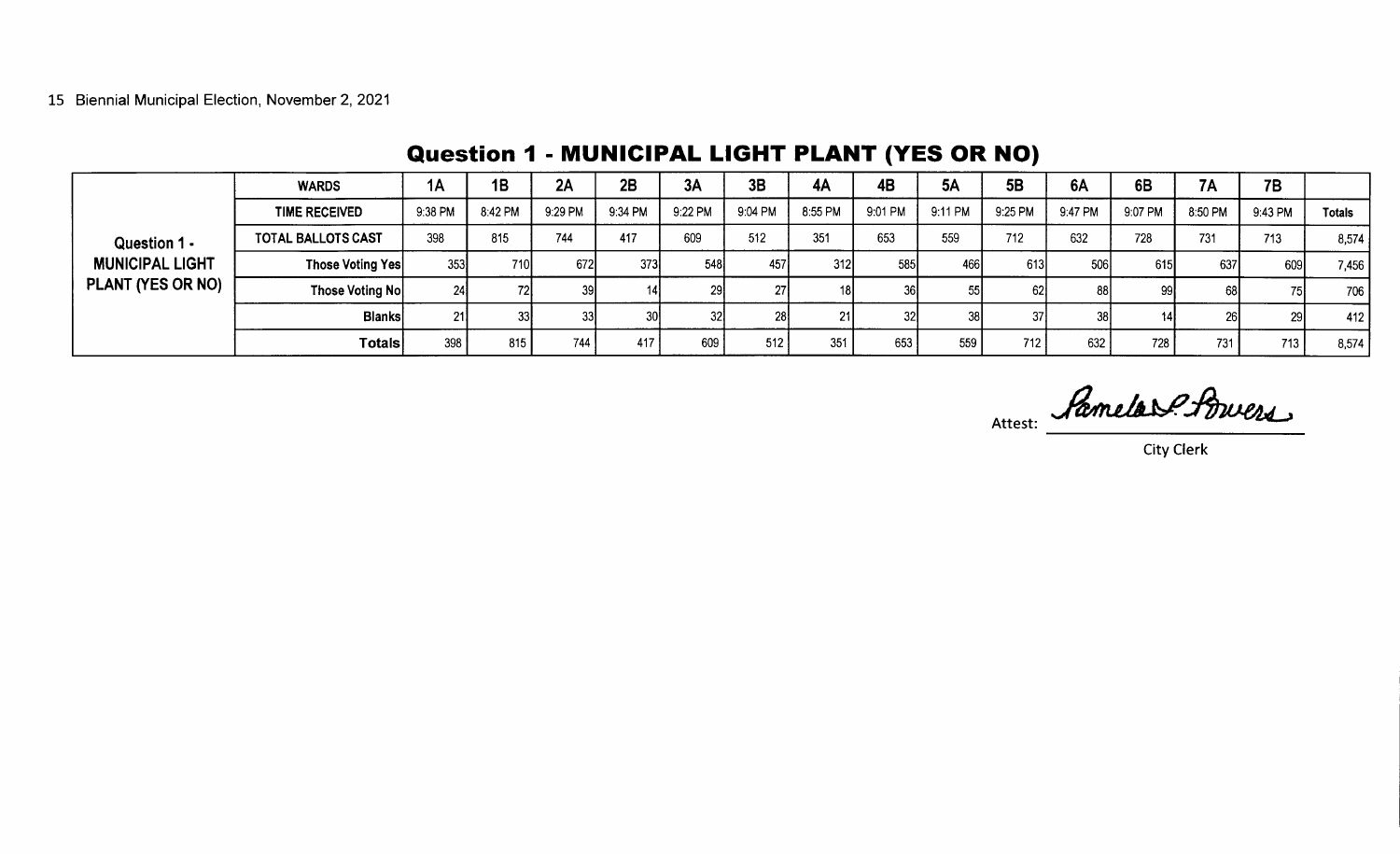|                                             | <b>WARDS</b>              | 1A      | 1B      | 2A      | 2B      | 3A      | 3B      | 4A              | 4B        | <b>5A</b>       | 5 <b>B</b> | <b>6A</b> | 6B      | <b>7A</b> | 7B      |               |
|---------------------------------------------|---------------------------|---------|---------|---------|---------|---------|---------|-----------------|-----------|-----------------|------------|-----------|---------|-----------|---------|---------------|
|                                             | <b>TIME RECEIVED</b>      | 9:38 PM | 8.42 PM | 9:29 PM | 9:34 PM | 9:22 PM | 9:04 PM | 8:55 PM         | 9:01 PM   | 9:11 PM         | 9:25 PM    | 9:47 PM   | 9:07 PM | 8:50 PM   | 9:43 PM | <b>Totals</b> |
| Question 1 -                                | <b>TOTAL BALLOTS CAST</b> | 398     | 815     | 744     | 417     | 609     | 512     | 351             | 653       | 559             | 712        | 632       | 728     | 731       | 713     | 8,574         |
| <b>MUNICIPAL LIGHT</b><br>PLANT (YES OR NO) | Those Voting Yes          | 353     | 7101    | 672     | 373     | 548     | 457     | 312             | 585       | 466             | 613        | 506       | 615     | 637       | 609     | 7,456         |
|                                             | <b>Those Voting Nol</b>   | 24      | 72I     |         |         |         |         | 18 <sup>1</sup> | <b>36</b> | 55              | 62         | 881       | 99      |           | 71      | 706           |
|                                             | <b>Blanks</b>             | 211     | 33      |         |         |         | 28      | 21              | 32I       | 38 <sub>l</sub> | -37 I      | 38        |         |           | -29     | 412           |
|                                             | <b>Totals</b>             | 398     | 815     | 744     | 417     | 609     | 512     | 351             | 653       | 559             | 712        | 632       | 728     | 731       | 713     | 8,574         |

### Question 1 - MUNICIPAL LIGHT PLANT (YES OR NO)

Attest: Pamelav? Powers

City Clerk